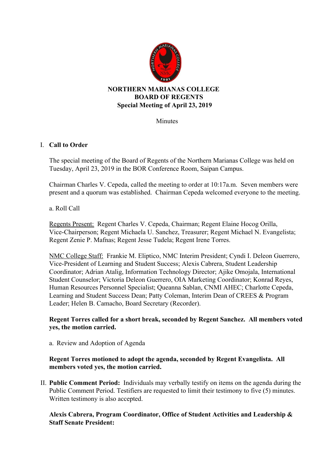

# **Special Meeting of April 23, 2019**

Minutes

## I. **Call to Order**

The special meeting of the Board of Regents of the Northern Marianas College was held on Tuesday, April 23, 2019 in the BOR Conference Room, Saipan Campus.

Chairman Charles V. Cepeda, called the meeting to order at 10:17a.m. Seven members were present and a quorum was established. Chairman Cepeda welcomed everyone to the meeting.

#### a. Roll Call

Regents Present: Regent Charles V. Cepeda, Chairman; Regent Elaine Hocog Orilla, Vice-Chairperson; Regent Michaela U. Sanchez, Treasurer; Regent Michael N. Evangelista; Regent Zenie P. Mafnas; Regent Jesse Tudela; Regent Irene Torres.

NMC College Staff: Frankie M. Eliptico, NMC Interim President; Cyndi I. Deleon Guerrero, Vice-President of Learning and Student Success; Alexis Cabrera, Student Leadership Coordinator; Adrian Atalig, Information Technology Director; Ajike Omojala, International Student Counselor; Victoria Deleon Guerrero, OIA Marketing Coordinator; Konrad Reyes, Human Resources Personnel Specialist; Queanna Sablan, CNMI AHEC; Charlotte Cepeda, Learning and Student Success Dean; Patty Coleman, Interim Dean of CREES & Program Leader; Helen B. Camacho, Board Secretary (Recorder).

## **Regent Torres called for a short break, seconded by Regent Sanchez. All members voted yes, the motion carried.**

a. Review and Adoption of Agenda

## **Regent Torres motioned to adopt the agenda, seconded by Regent Evangelista. All members voted yes, the motion carried.**

II. **Public Comment Period:** Individuals may verbally testify on items on the agenda during the Public Comment Period. Testifiers are requested to limit their testimony to five (5) minutes. Written testimony is also accepted.

## **Alexis Cabrera, Program Coordinator, Office of Student Activities and Leadership & Staff Senate President:**